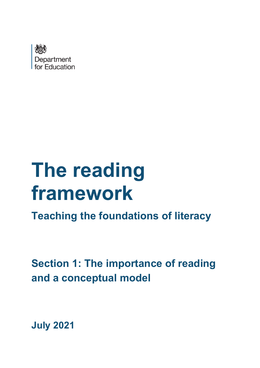

# **The reading framework**

**Teaching the foundations of literacy**

**Section 1: The importance of reading and a conceptual model**

**July 2021**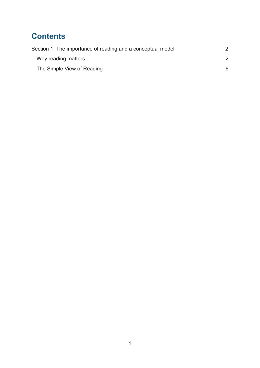# **Contents**

| Section 1: The importance of reading and a conceptual model |   |
|-------------------------------------------------------------|---|
| Why reading matters                                         | 2 |
| The Simple View of Reading                                  | 6 |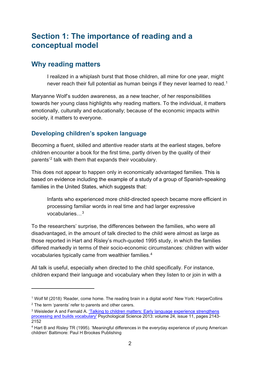## <span id="page-2-0"></span>**Section 1: The importance of reading and a conceptual model**

## <span id="page-2-1"></span>**Why reading matters**

I realized in a whiplash burst that those children, all mine for one year, might never reach their full potential as human beings if they never learned to read.<sup>[1](#page-2-2)</sup>

Maryanne Wolf's sudden awareness, as a new teacher, of her responsibilities towards her young class highlights why reading matters. To the individual, it matters emotionally, culturally and educationally; because of the economic impacts within society, it matters to everyone.

## **Developing children's spoken language**

Becoming a fluent, skilled and attentive reader starts at the earliest stages, before children encounter a book for the first time, partly driven by the quality of their parents'[2](#page-2-3) talk with them that expands their vocabulary.

This does not appear to happen only in economically advantaged families. This is based on evidence including the example of a study of a group of Spanish-speaking families in the United States, which suggests that:

Infants who experienced more child-directed speech became more efficient in processing familiar words in real time and had larger expressive vocabularies…[3](#page-2-4)

To the researchers' surprise, the differences between the families, who were all disadvantaged, in the amount of talk directed to the child were almost as large as those reported in Hart and Risley's much-quoted 1995 study, in which the families differed markedly in terms of their socio-economic circumstances: children with wider vocabularies typically came from wealthier families. [4](#page-2-5)

All talk is useful, especially when directed to the child specifically. For instance, children expand their language and vocabulary when they listen to or join in with a

<span id="page-2-2"></span><sup>1</sup> Wolf M (2018) 'Reader, come home. The reading brain in a digital world' New York: HarperCollins <sup>2</sup> The term 'parents' refer to parents and other carers.

<span id="page-2-4"></span><span id="page-2-3"></span><sup>3</sup> Weisleder A and Fernald A. ['Talking to children matters: Early language experience strengthens](https://www.ncbi.nlm.nih.gov/pmc/articles/PMC5510534/)  [processing and builds vocabulary'](https://www.ncbi.nlm.nih.gov/pmc/articles/PMC5510534/) Psychological Science 2013: volume 24, issue 11, pages 2143- 2152

<span id="page-2-5"></span><sup>4</sup> Hart B and Risley TR (1995). 'Meaningful differences in the everyday experience of young American children' Baltimore: Paul H Brookes Publishing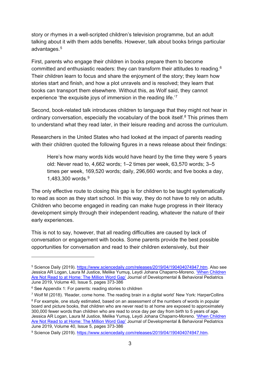story or rhymes in a well-scripted children's television programme, but an adult talking about it with them adds benefits. However, talk about books brings particular advantages. [5](#page-3-0)

First, parents who engage their children in books prepare them to become committed and enthusiastic readers: they can transform their attitudes to reading.[6](#page-3-1) Their children learn to focus and share the enjoyment of the story; they learn how stories start and finish, and how a plot unravels and is resolved; they learn that books can transport them elsewhere. Without this, as Wolf said, they cannot experience 'the exquisite joys of immersion in the reading life.'[7](#page-3-2)

Second, book-related talk introduces children to language that they might not hear in ordinary conversation, especially the vocabulary of the book itself. $8$  This primes them to understand what they read later, in their leisure reading and across the curriculum.

Researchers in the United States who had looked at the impact of parents reading with their children quoted the following figures in a news release about their findings:

Here's how many words kids would have heard by the time they were 5 years old: Never read to, 4,662 words; 1–2 times per week, 63,570 words; 3–5 times per week, 169,520 words; daily, 296,660 words; and five books a day, 1,483,300 words.[9](#page-3-4)

The only effective route to closing this gap is for children to be taught systematically to read as soon as they start school. In this way, they do not have to rely on adults. Children who become engaged in reading can make huge progress in their literacy development simply through their independent reading, whatever the nature of their early experiences.

This is not to say, however, that all reading difficulties are caused by lack of conversation or engagement with books. Some parents provide the best possible opportunities for conversation and read to their children extensively, but their

<span id="page-3-0"></span><sup>5</sup> Science Daily (2019). [https://www.sciencedaily.com/releases/2019/04/190404074947.htm.](https://www.sciencedaily.com/releases/2019/04/190404074947.htm) Also see Jessica AR Logan, Laura M Justice, Melike Yumuş, Leydi Johana Chaparro-Moreno. ['When Children](https://journals.lww.com/jrnldbp/Abstract/2019/06000/When_Children_Are_Not_Read_to_at_Home__The_Million.9.aspx) [Are Not Read to at Home: The Million Word Gap'](https://journals.lww.com/jrnldbp/Abstract/2019/06000/When_Children_Are_Not_Read_to_at_Home__The_Million.9.aspx) Journal of Developmental & Behavioral Pediatrics June 2019, Volume 40, Issue 5, pages 373-386

<span id="page-3-1"></span><sup>&</sup>lt;sup>6</sup> See Appendix 1: For parents: reading stories to children

<span id="page-3-2"></span> $7$  Wolf M (2018). 'Reader, come home. The reading brain in a digital world' New York: HarperCollins

<span id="page-3-3"></span><sup>&</sup>lt;sup>8</sup> For example, one study estimated, based on an assessment of the numbers of words in popular board and picture books, that children who are never read to at home are exposed to approximately 300,000 fewer words than children who are read to once day per day from birth to 5 years of age. Jessica AR Logan, Laura M Justice, Melike Yumuş, Leydi Johana Chaparro-Moreno. ['When Children](https://journals.lww.com/jrnldbp/Abstract/2019/06000/When_Children_Are_Not_Read_to_at_Home__The_Million.9.aspx)  [Are Not Read to at Home: The Million Word Gap'](https://journals.lww.com/jrnldbp/Abstract/2019/06000/When_Children_Are_Not_Read_to_at_Home__The_Million.9.aspx) Journal of Developmental & Behavioral Pediatrics June 2019, Volume 40, Issue 5, pages 373-386

<span id="page-3-4"></span><sup>9</sup> Science Daily (2019). [https://www.sciencedaily.com/releases/2019/04/190404074947.htm.](https://www.sciencedaily.com/releases/2019/04/190404074947.htm)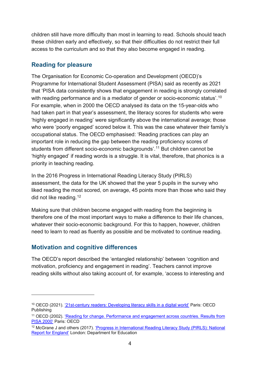children still have more difficulty than most in learning to read. Schools should teach these children early and effectively, so that their difficulties do not restrict their full access to the curriculum and so that they also become engaged in reading.

## **Reading for pleasure**

The Organisation for Economic Co-operation and Development (OECD)'s Programme for International Student Assessment (PISA) said as recently as 2021 that 'PISA data consistently shows that engagement in reading is strongly correlated with reading performance and is a mediator of gender or socio-economic status'.<sup>[10](#page-4-0)</sup> For example, when in 2000 the OECD analysed its data on the 15-year-olds who had taken part in that year's assessment, the literacy scores for students who were 'highly engaged in reading' were significantly above the international average; those who were 'poorly engaged' scored below it. This was the case whatever their family's occupational status. The OECD emphasised: 'Reading practices can play an important role in reducing the gap between the reading proficiency scores of students from different socio-economic backgrounds'.[11](#page-4-1) But children cannot be 'highly engaged' if reading words is a struggle. It is vital, therefore, that phonics is a priority in teaching reading.

In the 2016 Progress in International Reading Literacy Study (PIRLS) assessment, the data for the UK showed that the year 5 pupils in the survey who liked reading the most scored, on average, 45 points more than those who said they did not like reading.[12](#page-4-2)

Making sure that children become engaged with reading from the beginning is therefore one of the most important ways to make a difference to their life chances, whatever their socio-economic background. For this to happen, however, children need to learn to read as fluently as possible and be motivated to continue reading.

## **Motivation and cognitive differences**

The OECD's report described the 'entangled relationship' between 'cognition and motivation, proficiency and engagement in reading'. Teachers cannot improve reading skills without also taking account of, for example, 'access to interesting and

<span id="page-4-0"></span><sup>10</sup> OECD (2021). '21st-century readers: [Developing literacy skills in a digital world'](https://www.oecd.org/publications/21st-century-readers-a83d84cb-en.htm) Paris: OECD Publishing

<span id="page-4-1"></span><sup>11</sup> OECD (2002). ['Reading for change. Performance and engagement across countries. Results from](https://read.oecd-ilibrary.org/education/reading-for-change-performance-and-engagement-across-countries_9789264099289-en#page1)  [PISA 2000'](https://read.oecd-ilibrary.org/education/reading-for-change-performance-and-engagement-across-countries_9789264099289-en#page1) Paris: OECD

<span id="page-4-2"></span><sup>&</sup>lt;sup>12</sup> McGrane J and others (2017). 'Progress in International Reading Literacy Study (PIRLS): National [Report for England'](https://www.gov.uk/government/publications/pirls-2016-reading-literacy-performance-in-england) London: Department for Education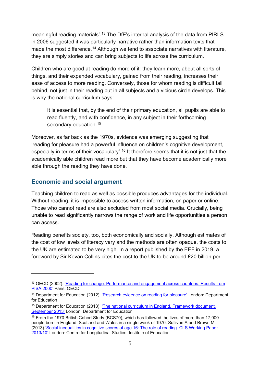meaningful reading materials'.<sup>[13](#page-5-0)</sup> The DfE's internal analysis of the data from PIRLS in 2006 suggested it was particularly narrative rather than information texts that made the most difference.<sup>[14](#page-5-1)</sup> Although we tend to associate narratives with literature, they are simply stories and can bring subjects to life across the curriculum.

Children who are good at reading do more of it: they learn more, about all sorts of things, and their expanded vocabulary, gained from their reading, increases their ease of access to more reading. Conversely, those for whom reading is difficult fall behind, not just in their reading but in all subjects and a vicious circle develops. This is why the national curriculum says:

It is essential that, by the end of their primary education, all pupils are able to read fluently, and with confidence, in any subject in their forthcoming secondary education.<sup>[15](#page-5-2)</sup>

Moreover, as far back as the 1970s, evidence was emerging suggesting that 'reading for pleasure had a powerful influence on children's cognitive development, especially in terms of their vocabulary'.<sup>[16](#page-5-3)</sup> It therefore seems that it is not just that the academically able children read more but that they have become academically more able through the reading they have done.

## **Economic and social argument**

Teaching children to read as well as possible produces advantages for the individual. Without reading, it is impossible to access written information, on paper or online. Those who cannot read are also excluded from most social media. Crucially, being unable to read significantly narrows the range of work and life opportunities a person can access.

Reading benefits society, too, both economically and socially. Although estimates of the cost of low levels of literacy vary and the methods are often opaque, the costs to the UK are estimated to be very high. In a report published by the EEF in 2019, a foreword by Sir Kevan Collins cites the cost to the UK to be around £20 billion per

<span id="page-5-0"></span><sup>&</sup>lt;sup>13</sup> OECD (2002). 'Reading for change. Performance and engagement across countries. Results from [PISA 2000'](https://read.oecd-ilibrary.org/education/reading-for-change-performance-and-engagement-across-countries_9789264099289-en#page1) Paris: OECD

<span id="page-5-1"></span><sup>&</sup>lt;sup>14</sup> Department for Education (2012). ['Research evidence on reading for pleasure'](https://www.gov.uk/government/publications/research-evidence-on-reading-for-pleasure) London: Department for Education

<span id="page-5-2"></span><sup>&</sup>lt;sup>15</sup> Department for Education (2013). 'The national curriculum in England. Framework document, [September 2013'](https://www.gov.uk/government/collections/national-curriculum) London: Department for Education

<span id="page-5-3"></span><sup>&</sup>lt;sup>16</sup> From the 1970 British Cohort Study (BCS70), which has followed the lives of more than 17,000 people born in England, Scotland and Wales in a single week of 1970. Sullivan A and Brown M. (2013) ['Social inequalities in cognitive scores at age 16: The role of reading. CLS Working Paper](https://discovery.ucl.ac.uk/id/eprint/1473708/)  [2013/10'](https://discovery.ucl.ac.uk/id/eprint/1473708/) London: Centre for Longitudinal Studies, Institute of Education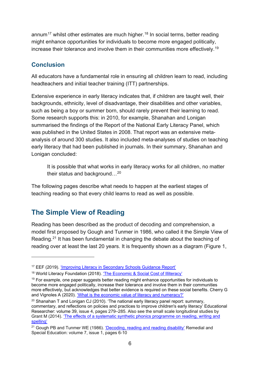annum<sup>[17](#page-6-1)</sup> whilst other estimates are much higher.<sup>[18](#page-6-2)</sup> In social terms, better reading might enhance opportunities for individuals to become more engaged politically, increase their tolerance and involve them in their communities more effectively.[19](#page-6-3)

## **Conclusion**

All educators have a fundamental role in ensuring all children learn to read, including headteachers and initial teacher training (ITT) partnerships.

Extensive experience in early literacy indicates that, if children are taught well, their backgrounds, ethnicity, level of disadvantage, their disabilities and other variables, such as being a boy or summer born, should rarely prevent their learning to read. Some research supports this: in 2010, for example, Shanahan and Lonigan summarised the findings of the Report of the National Early Literacy Panel, which was published in the United States in 2008. That report was an extensive metaanalysis of around 300 studies. It also included meta-analyses of studies on teaching early literacy that had been published in journals. In their summary, Shanahan and Lonigan concluded:

It is possible that what works in early literacy works for all children, no matter their status and background…[20](#page-6-4)

The following pages describe what needs to happen at the earliest stages of teaching reading so that every child learns to read as well as possible.

## <span id="page-6-0"></span>**The Simple View of Reading**

Reading has been described as the product of decoding and comprehension, a model first proposed by Gough and Tunmer in 1986, who called it the Simple View of Reading.<sup>[21](#page-6-5)</sup> It has been fundamental in changing the debate about the teaching of reading over at least the last 20 years. It is frequently shown as a diagram (Figure 1,

<span id="page-6-1"></span><sup>&</sup>lt;sup>17</sup> EEF (2019). 'Improving Literacy in Secondary Schools Guidance Report'

<span id="page-6-2"></span><sup>18</sup> World Literacy Foundation (2018). ['The Economic & Social Cost of Illiteracy'](https://worldliteracyfoundation.org/wp-content/uploads/2019/06/TheEconomicSocialCostofIlliteracy-2.pdf)

<span id="page-6-3"></span> $19$  For example, one paper suggests better reading might enhance opportunities for individuals to become more engaged politically, increase their tolerance and involve them in their communities more effectively, but acknowledges that better evidence is required on these social benefits. Cherry G and Vignoles A (2020). ['What is the economic value of literacy and numeracy?'](https://wol.iza.org/articles/what-is-economic-value-of-literacy-and-numeracy/long)

<span id="page-6-4"></span> $20$  Shanahan T and Lonigan CJ (2010). 'The national early literacy panel report: summary, commentary, and reflections on policies and practices to improve children's early literacy' Educational Researcher: volume 39, issue 4, pages 279–285. Also see the small scale longitudinal studies by Grant M (2014). ['The effects of a systematic synthetic phonics programme on reading, writing and](https://www.syntheticphonics.net/reseach.php#indentreport)  [spelling'](https://www.syntheticphonics.net/reseach.php#indentreport)

<span id="page-6-5"></span><sup>&</sup>lt;sup>21</sup> Gough PB and Tunmer WE (1986). ['Decoding, reading and reading disability'](https://journals.sagepub.com/doi/10.1177/074193258600700104) Remedial and Special Education: volume 7, issue 1, pages 6-10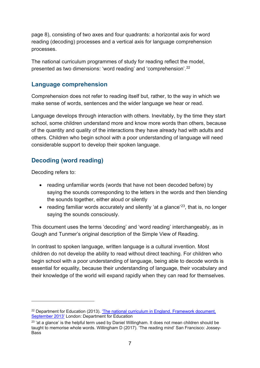page 8), consisting of two axes and four quadrants: a horizontal axis for word reading (decoding) processes and a vertical axis for language comprehension processes.

The national curriculum programmes of study for reading reflect the model, presented as two dimensions: 'word reading' and 'comprehension'.[22](#page-7-0) 

## **Language comprehension**

Comprehension does not refer to reading itself but, rather, to the way in which we make sense of words, sentences and the wider language we hear or read.

Language develops through interaction with others. Inevitably, by the time they start school, some children understand more and know more words than others, because of the quantity and quality of the interactions they have already had with adults and others. Children who begin school with a poor understanding of language will need considerable support to develop their spoken language.

## **Decoding (word reading)**

Decoding refers to:

- reading unfamiliar words (words that have not been decoded before) by saying the sounds corresponding to the letters in the words and then blending the sounds together, either aloud or silently
- reading familiar words accurately and silently 'at a glance'<sup>23</sup>, that is, no longer saying the sounds consciously.

This document uses the terms 'decoding' and 'word reading' interchangeably, as in Gough and Tunmer's original description of the Simple View of Reading.

In contrast to spoken language, written language is a cultural invention. Most children do not develop the ability to read without direct teaching. For children who begin school with a poor understanding of language, being able to decode words is essential for equality, because their understanding of language, their vocabulary and their knowledge of the world will expand rapidly when they can read for themselves.

<span id="page-7-0"></span> $22$  Department for Education (2013). 'The national curriculum in England. Framework document, [September 2013'](https://www.gov.uk/government/collections/national-curriculum) London: Department for Education

<span id="page-7-1"></span> $23$  'at a glance' is the helpful term used by Daniel Willingham. It does not mean children should be taught to memorise whole words. Willingham D (2017). 'The reading mind' San Francisco: Jossey-Bass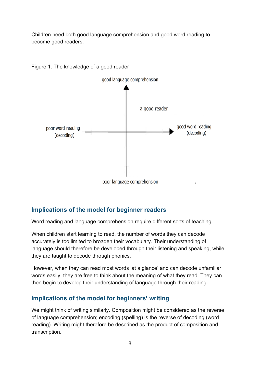Children need both good language comprehension and good word reading to become good readers.



Figure 1: The knowledge of a good reader

### **Implications of the model for beginner readers**

Word reading and language comprehension require different sorts of teaching.

When children start learning to read, the number of words they can decode accurately is too limited to broaden their vocabulary. Their understanding of language should therefore be developed through their listening and speaking, while they are taught to decode through phonics.

However, when they can read most words 'at a glance' and can decode unfamiliar words easily, they are free to think about the meaning of what they read. They can then begin to develop their understanding of language through their reading.

### **Implications of the model for beginners' writing**

We might think of writing similarly. Composition might be considered as the reverse of language comprehension; encoding (spelling) is the reverse of decoding (word reading). Writing might therefore be described as the product of composition and transcription.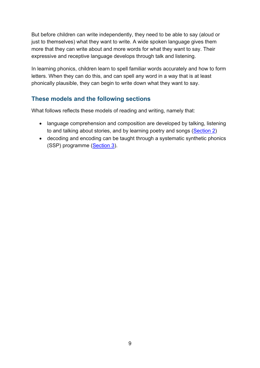But before children can write independently, they need to be able to say (aloud or just to themselves) what they want to write. A wide spoken language gives them more that they can write about and more words for what they want to say. Their expressive and receptive language develops through talk and listening.

In learning phonics, children learn to spell familiar words accurately and how to form letters. When they can do this, and can spell any word in a way that is at least phonically plausible, they can begin to write down what they want to say.

## **These models and the following sections**

What follows reflects these models of reading and writing, namely that:

- language comprehension and composition are developed by talking, listening to and talking about stories, and by learning poetry and songs [\(Section 2\)](https://www.gov.uk/government/publications/the-reading-framework-teaching-the-foundations-of-literacy)
- decoding and encoding can be taught through a systematic synthetic phonics (SSP) programme [\(Section 3\)](https://www.gov.uk/government/publications/the-reading-framework-teaching-the-foundations-of-literacy).